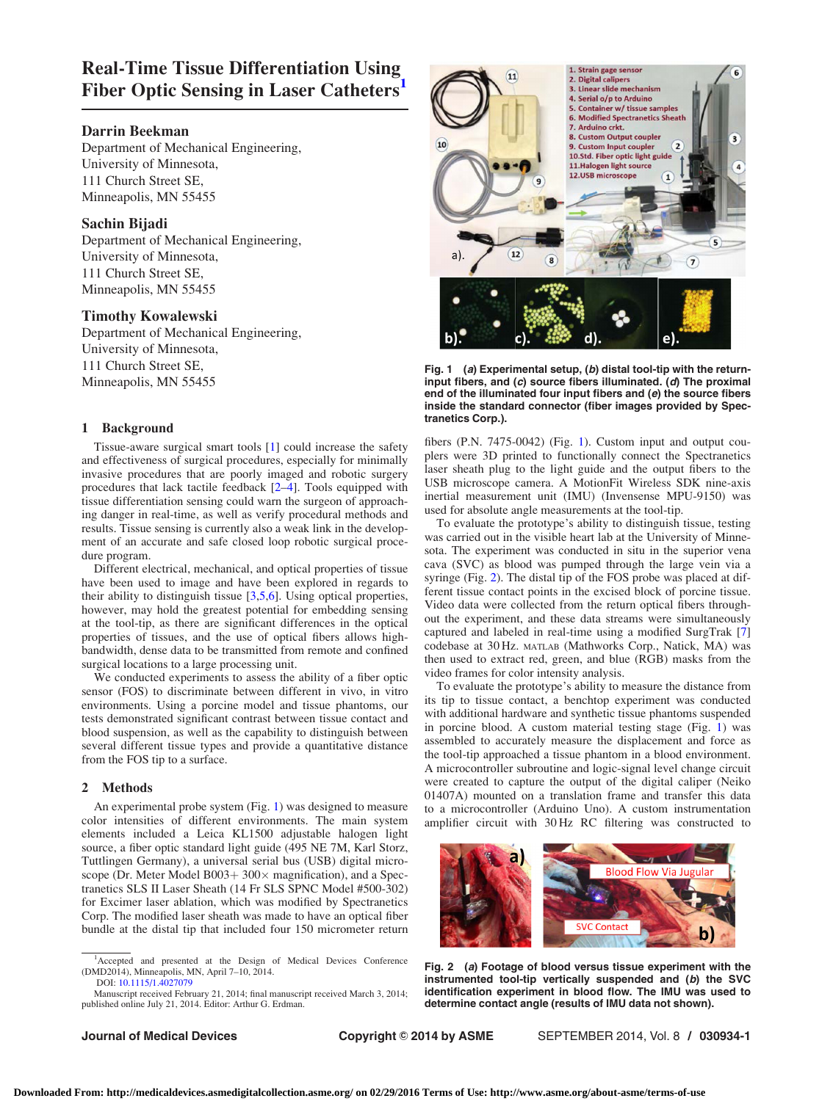# Real-Time Tissue Differentiation Using Fiber Optic Sensing in Laser Catheters<sup>1</sup>

# Darrin Beekman

Department of Mechanical Engineering, University of Minnesota, 111 Church Street SE, Minneapolis, MN 55455

# Sachin Bijadi

Department of Mechanical Engineering, University of Minnesota, 111 Church Street SE, Minneapolis, MN 55455

# Timothy Kowalewski

Department of Mechanical Engineering, University of Minnesota, 111 Church Street SE, Minneapolis, MN 55455

## 1 Background

Tissue-aware surgical smart tools [\[1\]](#page-1-0) could increase the safety and effectiveness of surgical procedures, especially for minimally invasive procedures that are poorly imaged and robotic surgery procedures that lack tactile feedback [\[2–4\]](#page-1-0). Tools equipped with tissue differentiation sensing could warn the surgeon of approaching danger in real-time, as well as verify procedural methods and results. Tissue sensing is currently also a weak link in the development of an accurate and safe closed loop robotic surgical procedure program.

Different electrical, mechanical, and optical properties of tissue have been used to image and have been explored in regards to their ability to distinguish tissue [[3](#page-1-0),[5,6\]](#page-1-0). Using optical properties, however, may hold the greatest potential for embedding sensing at the tool-tip, as there are significant differences in the optical properties of tissues, and the use of optical fibers allows highbandwidth, dense data to be transmitted from remote and confined surgical locations to a large processing unit.

We conducted experiments to assess the ability of a fiber optic sensor (FOS) to discriminate between different in vivo, in vitro environments. Using a porcine model and tissue phantoms, our tests demonstrated significant contrast between tissue contact and blood suspension, as well as the capability to distinguish between several different tissue types and provide a quantitative distance from the FOS tip to a surface.

### 2 Methods

An experimental probe system (Fig. 1) was designed to measure color intensities of different environments. The main system elements included a Leica KL1500 adjustable halogen light source, a fiber optic standard light guide (495 NE 7M, Karl Storz, Tuttlingen Germany), a universal serial bus (USB) digital microscope (Dr. Meter Model B003+  $300\times$  magnification), and a Spectranetics SLS II Laser Sheath (14 Fr SLS SPNC Model #500-302) for Excimer laser ablation, which was modified by Spectranetics Corp. The modified laser sheath was made to have an optical fiber bundle at the distal tip that included four 150 micrometer return

Manuscript received February 21, 2014; final manuscript received March 3, 2014; published online July 21, 2014. Editor: Arthur G. Erdman.



Fig. 1 (a) Experimental setup,  $(b)$  distal tool-tip with the returninput fibers, and (c) source fibers illuminated. (d) The proximal end of the illuminated four input fibers and (e) the source fibers inside the standard connector (fiber images provided by Spectranetics Corp.).

fibers (P.N. 7475-0042) (Fig. 1). Custom input and output couplers were 3D printed to functionally connect the Spectranetics laser sheath plug to the light guide and the output fibers to the USB microscope camera. A MotionFit Wireless SDK nine-axis inertial measurement unit (IMU) (Invensense MPU-9150) was used for absolute angle measurements at the tool-tip.

To evaluate the prototype's ability to distinguish tissue, testing was carried out in the visible heart lab at the University of Minnesota. The experiment was conducted in situ in the superior vena cava (SVC) as blood was pumped through the large vein via a syringe (Fig. 2). The distal tip of the FOS probe was placed at different tissue contact points in the excised block of porcine tissue. Video data were collected from the return optical fibers throughout the experiment, and these data streams were simultaneously captured and labeled in real-time using a modified SurgTrak [\[7](#page-1-0)] codebase at 30 Hz. MATLAB (Mathworks Corp., Natick, MA) was then used to extract red, green, and blue (RGB) masks from the video frames for color intensity analysis.

To evaluate the prototype's ability to measure the distance from its tip to tissue contact, a benchtop experiment was conducted with additional hardware and synthetic tissue phantoms suspended in porcine blood. A custom material testing stage (Fig. 1) was assembled to accurately measure the displacement and force as the tool-tip approached a tissue phantom in a blood environment. A microcontroller subroutine and logic-signal level change circuit were created to capture the output of the digital caliper (Neiko 01407A) mounted on a translation frame and transfer this data to a microcontroller (Arduino Uno). A custom instrumentation amplifier circuit with 30 Hz RC filtering was constructed to



Fig. 2 (a) Footage of blood versus tissue experiment with the instrumented tool-tip vertically suspended and (b) the SVC identification experiment in blood flow. The IMU was used to determine contact angle (results of IMU data not shown).

<sup>&</sup>lt;sup>1</sup>Accepted and presented at the Design of Medical Devices Conference (DMD2014), Minneapolis, MN, April 7–10, 2014. DOI: [10.1115/1.4027079](http://dx.doi.org/10.1115/1.4027079)